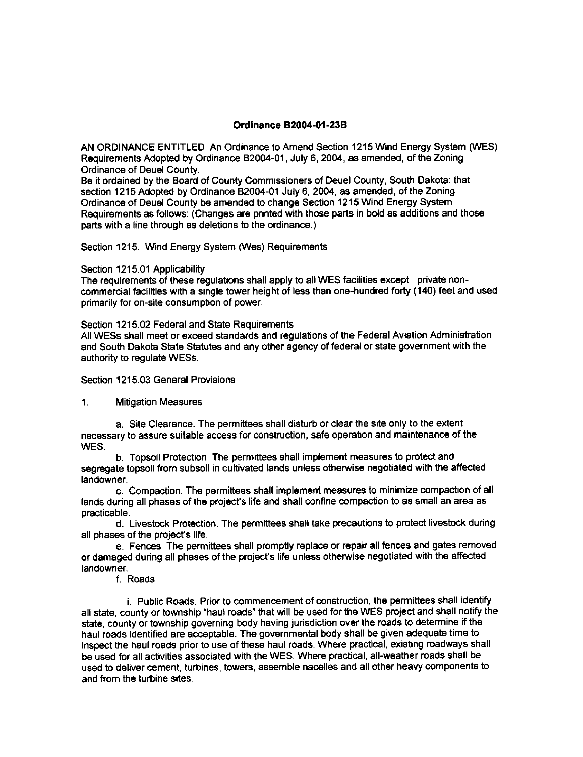# **Ordinance B2004-01-23B**

AN ORDINANCE ENTITLED, An Ordinance to Amend Section 1215 Wind Energy System (WES) Requirements Adopted by Ordinance 82004-01, July 5, 2004, as amended, of the Zoning Ordinance of Deuel County.

Be it ordained by the Board of County Commissioners of Deuel County, South Dakota: that section 1215 Adopted by Ordinance 82004-01 July 6, 2004, as amended, of the Zoning Ordinance of Deuel County be amended to change Section 1215 Wind Energy System Requirements as follows: (Changes are printed with those parts in bold as additions and those parts with a line through as deletions to the ordinance.)

Section 1215. Wind Energy System Wes) Requirements

### Section 1215.01 Applicability

The requirements of these regulations shall apply to all WES facilities except private noncommercial facilities with a single tower height of less than one-hundred forty (140) feet and used primarily for on-site consumption of power.

### Section 1215.02 Federal and State Requirements

All WESS shall meet or exceed standards and regulations of the Federal Aviation Administration and South Dakota State Statutes and any other agency of federal or state government with the authority to regulate WESS.

# Section 1215.03 General Provisions

## <sup>1</sup>. Mitigation Measures

a. Site Clearance. The permittees shall disturb or clear the site only to the extent necessary to assure suitable access for construction, safe operation and maintenance of the WES.

b. Topsoil Protection. The permittees shall implement measures to protect and segregate topsoil from subsoil in cultivated lands unless otherwise negotiated with the affected landowner.

c. Compaction. The permittees shall implement measures to minimize compaction of all lands during all phases of the project's life and shall confine compaction to as small an area as oracticable.

d. Livestock Protection. The permittees shall take precautions to protect livestock during all phases of the project's life.

e. Fences. The permittees shall promptly replace or repair all fences and gates removed or damaged during all phases of the project's life unless otherwise negotiated with the affected landowner.

### f. Roads

i. Public Roads. Prior to commencement of construction, the permittees shall identify all state, county or township "haul roads" that will be used for the WES project and shall notify the state, county or township governing body having iurisdiction over the roads to determine if the haul roads identified are acceptable. The governmental body shall be given adequate time to inspect the haul roads prior to use of these haul roads. Where practical, existing roadways shall be used for all activities associated wth the WES. Where practical, all-weather roads shall be used to deliver cement, turbines, towers, assemble nacelles and all other heavy components to and from the turbine sites.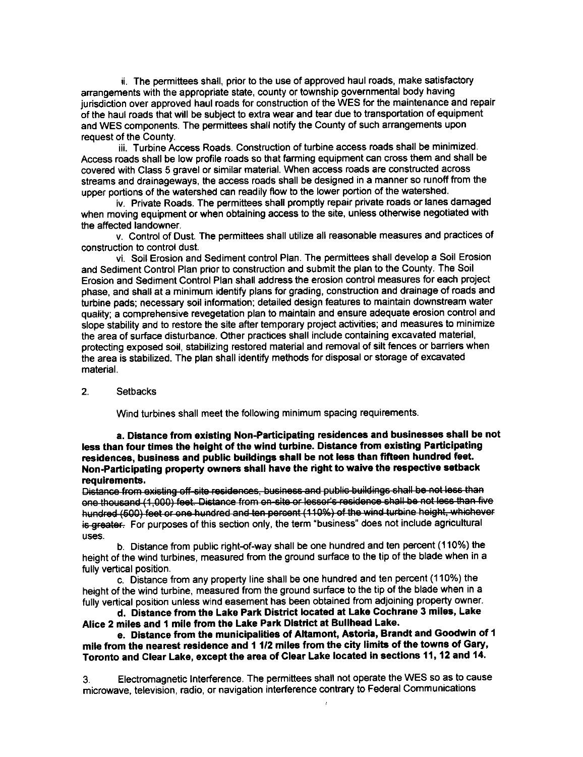ii. The permittees shall, prior to the use of approved haul roads, make satisfactory anangements with the appropriate state, county or township governmental body having jurisdiction over approved haul roads for construction of the WES for the maintenance and repair of the haul roads that will be subject to extra wear and tear due to transportation of equipment and WES components. The permittees shall notify the County of such arrangements upon request of the County.

iii. Turbine Access Roads. Construction of turbine access roads shall be minimized. Access roads shall be low profile roads so that farming equipment can cross them and shall be covered with Class 5 gravel or similar material. When access roads are constructed across streams and drainageways, the access roads shall be designed in a manner so runoff from the upper portions of the watershed can readily flow to the lower portion of the watershed.

iv. Private Roads. The permittees shall promptly repair private roads or lanes damaged when moving equipment or when obtaining access to the site, unless otherwise negotiated with the affected landowner.

v. Control of Dust. The oermittees shall utilize all reasonable measures and practices of construction to control dust.

vi. Soil Erosion and Sediment control Plan. The permittees shall develop a Soil Erosion and Sediment Control Plan prior to construction and submit the plan to the County. The Soil Erosion and Sediment Control Plan shall address the erosion control measures for each project phase, and shall at a minimum identify plans for grading, construction and drainage of roads and turbine pads; necessary soil information: detailed design features to maintain downstream water quality; a comprehensive revegetation plan to maintain and ensure adequate erosion control and slope stability and to restore the site after temporary project activities, and measures to minimize the area of surface disturbance. Other prectices shall include containing excavated material, protecting exposed soil, stabilizing restored material and removal of silt fences or barriers when the area is stabilized. The plan shall identify methods for disposal or storage of excavated material.

#### 2. Setbacks

Wind turbines shall meet the following minimum spacing requirements.

a. Distance from existing Non-Participating residences and businesses shall be not less than four times the height of the wind turbine. Distance from existing Participating residences, business and public buildings shall be not less than fifteen hundred feet. Non-Participating property owners shall have the right to waive the respective setback

requirements.<br>Distance from existing off-site residences, business and public buildings shall be not less than one thousand (1,000) feet. Distance from on-site or lessor's residence shall be not less than five hundred (500) feet or one hundred and ten percent (110%) of the wind turbine height, whichever is greater. For purposes of this section only, the term "business" does not include agricultural uses.

b. Distance from public right-of-way shall be one hundred and ten percent (110%) the height of the wind turbines, measured from the ground surface to the tip of the blade when in a fully vertical position.

c. Distance from any property line shall be one hundred and ten percent (110%) the height of the wind turbine, measured from the ground surface to the tip of the blade when in a fully vertical position unless wind easement has been obtained from adjoining property owner.

d. Distance from the Lake Park District located at Lake Cochrane 3 miles, Lake Alice 2 miles and 1 mile from the Lake Park District at Bullhead Lake.

e. Distance from the municipalities of Altamont, Astoria, Brandt and Goodwin of 1 mile from the nearest residence and 1 1/2 miles from the city limits of the towns of Gary, Toronto and Clear Lake, except the area of Clear Lake located in sections 11, 12 and 14.

3. Electromagnetic lnterference. The permittees shall not operate the WES so as to cause microwave, television, radio, or navigation interference contrary to Federal Communications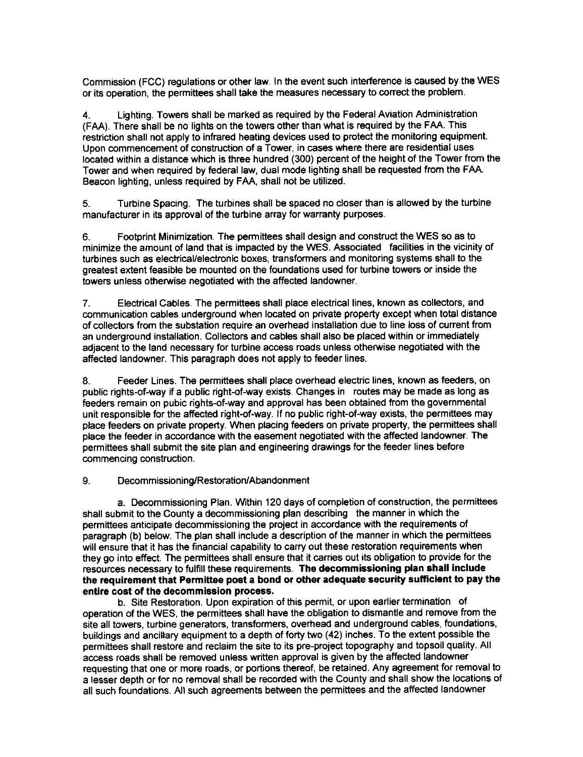Commission (FCC) regulations or other law. In the event such interference is caused by the WES or its operation, the permittees shall take the measures necessary to conect the problem.

4. Lighting. Towers shall be marked as required by the Federal Aviation Administration (FAA). There shall be no lights on the towers other than what is required by the FAA. This restriction shall not apply to infrared heating devices used to protect the monitoring equipment. Upon commencement of construction of a Tower, in cases where there are residential uses located within a distance which is three hundred (300) percent of the height of the Tower from the Tower and when required by federal law, dual mode lighting shall be requested from the FAA. Beacon lighting, unless required by FAA, shall not be utilized.

5. Turbine Spacing. The turbines shall be spaced no closer than is allowed by the turbine manufacturer in its approval of the turbine array for warranty purposes.

6. Footprint Minimization. The permittees shall design and construct the WES so as to minimize the amount of land that is impacted by the WES. Associated facilities in the vicinity of turbines such as electrical/electronic boxes, transformers and monitoring systems shall to the greatest extent feasible be mounted on the foundations used for turbine towers or inside the towers unless otherwise negotiated with the affected landowner.

7. Electrical Cables. The permittees shall place electrical lines, known as collectors, and communication cables underground when located on private property except when total distance of collectors from the substation require an overhead installation due to line loss of current from an underground installation. Collectors and cables shall also be placed within or immediately adjacent to the land necessary for turbine access roads unless otherwise negotiated with the affected landowner. This paragraph does not apply to feeder lines.

8. Feeder Lines. The permittees shall place overhead electric lines, known as feeders, on public rights-of-way if a public right-of-way exists. Changes in routes may be made as long as feeders remain on pubic rights-of-way and approval has been obtained from the governmental unit responsible for the affected right-of-way. lf no public right-of-way exists, the permittees may place feeders on private property. When placing feeders on private property, the permiftees shall place the feeder in accordance with the easement negotiated with the affected landowner. The permittees shall submit the site plan and engineering drawings for the feeder lines before commencing construction.

## 9. Decommissioning/Restoration/Abandonment

a. Decommissioning Plan. Within 120 days of completion of construction, the permittees shall submit to the County a decommissioning plan describing the manner in which the permittees anticipate decommissioning the project in accordance with the requirements of paragraph (b) below. The plan shall include a description of the manner in which the permittees will ensure that it has the financial capability to carry out these restoration requirements when they go into effect. The permittees shall ensure that it carries out its obligation to provide for the resources necessary to fulfill these requirements. The decommissioning plan shall include the requirement that Pemittee poet a bond or other adequate security sutficient to pay the entire cost of the decommission process.

b. Site Restoration. Upon expiration of this permit, or upon earlier termination of operation of the WES, the permittees shall have the obligation to dismantle and remove from the site all towers, turbine generators, transformers, overhead and underground cables, foundations, buildings and ancillary equipment to a depth of forty two (42) inches. To the extent possible the permittees shall restore and reclaim the site to its pre-project topography and topsoil quality. All access roads shall be removed unless written approval is given by the atfected landowner requesting that one or more roads, or portions thereof, be retained. Any agreement for removal to a lesser deoth or for no removal shall be recorded with the County and shall show the locations of all such foundations. All such agreements between the permittees and the affected landowner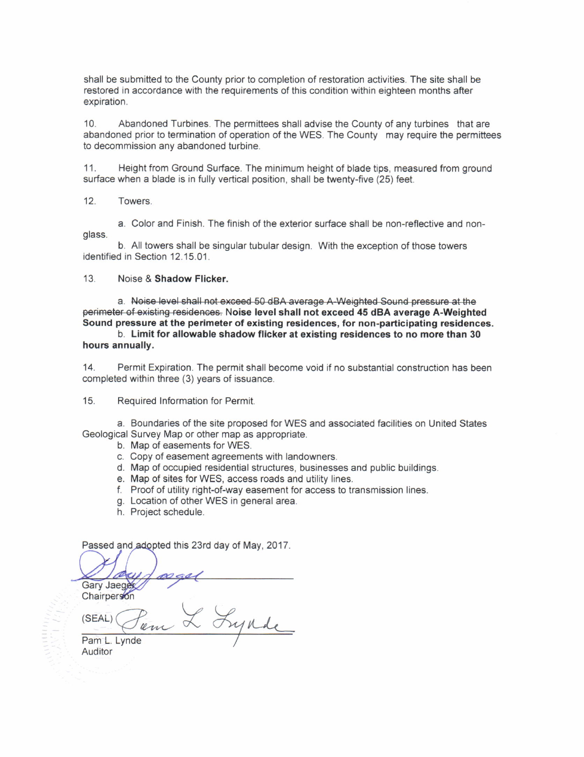shall be submitted to the County prior to completion of restoration activities. The site shall be restored in accordance with the requirements of this condition within eighteen months after exoiration.

10. Abandoned Turbines. The permittees shall advise the County of any turbines that are abandoned prior to termination of operation of the WES. The County may require the permittees to decommission any abandoned turbine.

11. Height from Ground Surface. The minimum height of blade tips, measured from ground surface when a blade is in fully vertical position, shall be twenty-five (25) feet.

12. Towers.

a. Color and Finish. The finish of the exterior surface shall be non-reflective and nonglass.

b. All towers shall be singular tubular design. With the exception of those towers identified in Section 12.15.01.

### 13. Noise & Shadow Flicker.

a. Noise level shall not exceed 50 dBA average A-Weighted Sound pressure at the perimeter of existing residences. Noise level shall not exceed 45 dBA average A-Weighted Sound pressure at the perimeter of existing residences, for non-participating residences.

b. Limit for allowable shadow flicker at existing residences to no more than 30 hours annually.

14. Permit Expiration. The permit shall become void if no substantial construction has been completed within three (3) years of issuance.

15. Required Information for Permit.

a. Boundaries of the site proposed for WES and associated facilities on United States Geological Survey Map or other map as appropriate.

- b. Map of easements for WES.
- c. Copy of easement agreements with landowners.
- d. Map of occupied residential structures, businesses and public buildings.<br>e. Map of sites for WES, access roads and utility lines.
- 
- f. Proof of utility right-of-way easement for access to transmission lines.
- g. Location of other WES in general area.
- h. Proiect schedule.

Passed and adopted this 23rd day of May, 2017.

a Gary Jaeger

Chairperson

L Lynde (SEAL) em

Pam L. Lynde Auditor